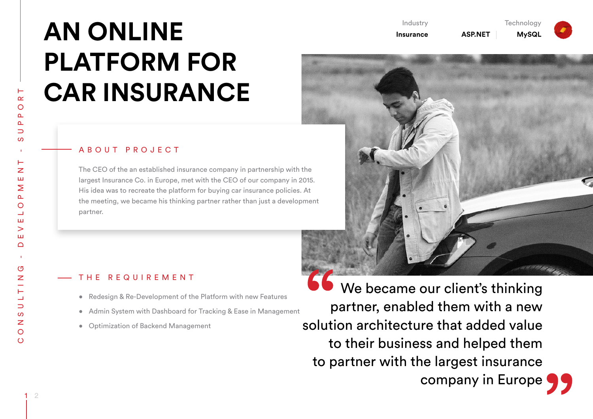# **AN ONLINE PLATFORM FOR CAR INSURANCE**

### ABOUT PROJECT

The CEO of the an established insurance company in partnership with the largest Insurance Co. in Europe, met with the CEO of our company in 2015. His idea was to recreate the platform for buying car insurance policies. At the meeting, we became his thinking partner rather than just a development partner.

## THE REQUIREMENT

- Redesign & Re-Development of the Platform with new Features
- Admin System with Dashboard for Tracking & Ease in Management
- • Optimization of Backend Management

 We became our client's thinking partner, enabled them with a new solution architecture that added value to their business and helped them to partner with the largest insurance company in Europe 99

Industry **Insurance** **Technology** 

**ASP.NET MySQL**



 $\circ$